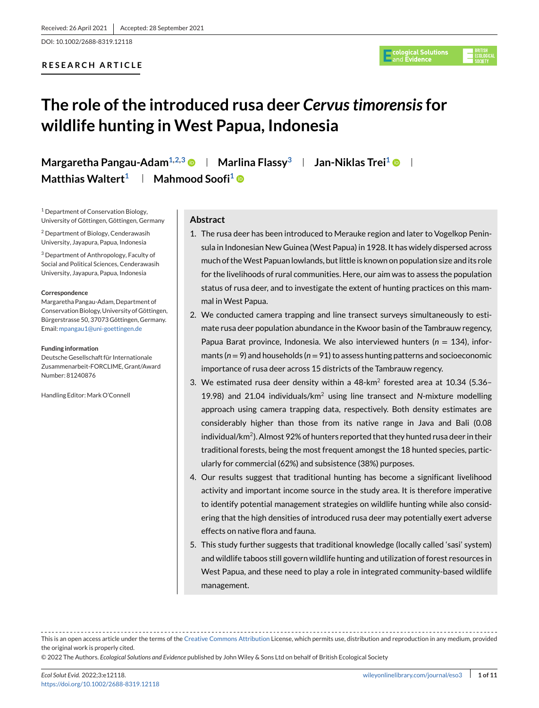DOI: 10.1002/2688-8319.12118

# **RESEARCH ARTICLE**



# **The role of the introduced rusa deer** *Cervus timorensis***for wildlife hunting in West Papua, Indonesia**

**Margaretha Pangau-Adam<sup>1,2,3</sup>**  $\bullet$  **| Marlina Flassy<sup>3</sup> | Jan-Niklas Trei<sup>1</sup>**  $\bullet$  **| Matthias Waltert<sup>1</sup> | Mahmood Soofi<sup>1</sup> ©** 

<sup>1</sup> Department of Conservation Biology, University of Göttingen, Göttingen, Germany

<sup>2</sup> Department of Biology, Cenderawasih University, Jayapura, Papua, Indonesia

<sup>3</sup> Department of Anthropology, Faculty of Social and Political Sciences, Cenderawasih University, Jayapura, Papua, Indonesia

#### **Correspondence**

Margaretha Pangau-Adam, Department of Conservation Biology, University of Göttingen, Bürgerstrasse 50, 37073 Göttingen, Germany. Email: [mpangau1@uni-goettingen.de](mailto:mpangau1@uni-goettingen.de)

#### **Funding information**

Deutsche Gesellschaft für Internationale Zusammenarbeit-FORCLIME, Grant/Award Number: 81240876

Handling Editor: Mark O'Connell

# **Abstract**

- 1. The rusa deer has been introduced to Merauke region and later to Vogelkop Peninsula in Indonesian New Guinea (West Papua) in 1928. It has widely dispersed across much of theWest Papuan lowlands, but little is known on population size and its role for the livelihoods of rural communities. Here, our aim was to assess the population status of rusa deer, and to investigate the extent of hunting practices on this mammal in West Papua.
- 2. We conducted camera trapping and line transect surveys simultaneously to estimate rusa deer population abundance in the Kwoor basin of the Tambrauw regency, Papua Barat province, Indonesia. We also interviewed hunters (*n* = 134), informants (*n* = 9) and households (*n* = 91) to assess hunting patterns and socioeconomic importance of rusa deer across 15 districts of the Tambrauw regency.
- 3. We estimated rusa deer density within a  $48 \text{--} \text{km}^2$  forested area at 10.34 (5.36– 19.98) and 21.04 individuals/km2 using line transect and *N*-mixture modelling approach using camera trapping data, respectively. Both density estimates are considerably higher than those from its native range in Java and Bali (0.08 individual/ $km^2$ ). Almost 92% of hunters reported that they hunted rusa deer in their traditional forests, being the most frequent amongst the 18 hunted species, particularly for commercial (62%) and subsistence (38%) purposes.
- 4. Our results suggest that traditional hunting has become a significant livelihood activity and important income source in the study area. It is therefore imperative to identify potential management strategies on wildlife hunting while also considering that the high densities of introduced rusa deer may potentially exert adverse effects on native flora and fauna.
- 5. This study further suggests that traditional knowledge (locally called 'sasi' system) and wildlife taboos still govern wildlife hunting and utilization of forest resources in West Papua, and these need to play a role in integrated community-based wildlife management.

This is an open access article under the terms of the [Creative Commons Attribution](http://creativecommons.org/licenses/by/4.0/) License, which permits use, distribution and reproduction in any medium, provided the original work is properly cited.

© 2022 The Authors. *Ecological Solutions and Evidence* published by John Wiley & Sons Ltd on behalf of British Ecological Society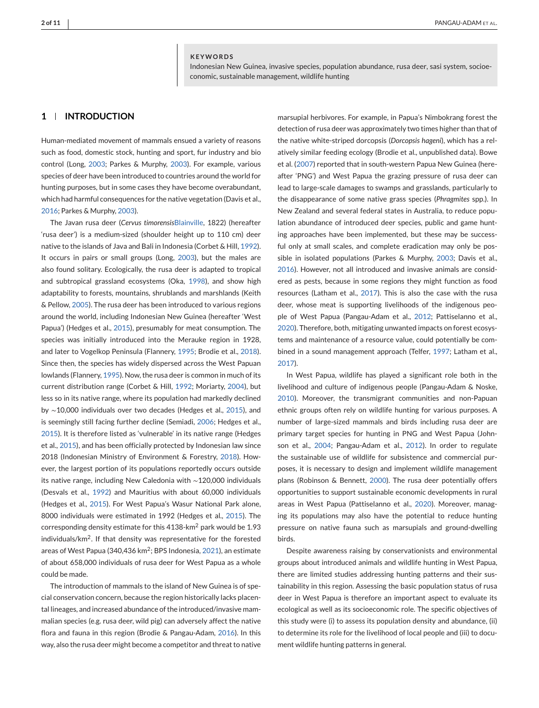#### **KEYWORDS**

Indonesian New Guinea, invasive species, population abundance, rusa deer, sasi system, socioeconomic, sustainable management, wildlife hunting

# **1 INTRODUCTION**

Human-mediated movement of mammals ensued a variety of reasons such as food, domestic stock, hunting and sport, fur industry and bio control (Long, [2003;](#page-10-0) Parkes & Murphy, [2003\)](#page-10-0). For example, various species of deer have been introduced to countries around the world for hunting purposes, but in some cases they have become overabundant, which had harmful consequences for the native vegetation (Davis et al., [2016;](#page-9-0) Parkes & Murphy, [2003\)](#page-10-0).

The Javan rusa deer (*Cervus timorensis*[Blainville,](http://Blainville) 1822) (hereafter 'rusa deer') is a medium-sized (shoulder height up to 110 cm) deer native to the islands of Java and Bali in Indonesia (Corbet & Hill, [1992\)](#page-9-0). It occurs in pairs or small groups (Long, [2003\)](#page-10-0), but the males are also found solitary. Ecologically, the rusa deer is adapted to tropical and subtropical grassland ecosystems (Oka, [1998\)](#page-10-0), and show high adaptability to forests, mountains, shrublands and marshlands (Keith & Pellow, [2005\)](#page-9-0). The rusa deer has been introduced to various regions around the world, including Indonesian New Guinea (hereafter 'West Papua') (Hedges et al., [2015\)](#page-9-0), presumably for meat consumption. The species was initially introduced into the Merauke region in 1928, and later to Vogelkop Peninsula (Flannery, [1995;](#page-9-0) Brodie et al., [2018\)](#page-9-0). Since then, the species has widely dispersed across the West Papuan lowlands (Flannery, [1995\)](#page-9-0). Now, the rusa deer is common in much of its current distribution range (Corbet & Hill, [1992;](#page-9-0) Moriarty, [2004\)](#page-10-0), but less so in its native range, where its population had markedly declined by ∼10,000 individuals over two decades (Hedges et al., [2015\)](#page-9-0), and is seemingly still facing further decline (Semiadi, [2006;](#page-10-0) Hedges et al., [2015\)](#page-9-0). It is therefore listed as 'vulnerable' in its native range (Hedges et al., [2015\)](#page-9-0), and has been officially protected by Indonesian law since 2018 (Indonesian Ministry of Environment & Forestry, [2018\)](#page-10-0). However, the largest portion of its populations reportedly occurs outside its native range, including New Caledonia with ∼120,000 individuals (Desvals et al., [1992\)](#page-9-0) and Mauritius with about 60,000 individuals (Hedges et al., [2015\)](#page-9-0). For West Papua's Wasur National Park alone, 8000 individuals were estimated in 1992 (Hedges et al., [2015\)](#page-9-0). The corresponding density estimate for this 4138-km<sup>2</sup> park would be 1.93 individuals/km2. If that density was representative for the forested areas of West Papua (340,436  $km^2$ ; BPS Indonesia, [2021\)](#page-9-0), an estimate of about 658,000 individuals of rusa deer for West Papua as a whole could be made.

The introduction of mammals to the island of New Guinea is of special conservation concern, because the region historically lacks placental lineages, and increased abundance of the introduced/invasive mammalian species (e.g. rusa deer, wild pig) can adversely affect the native flora and fauna in this region (Brodie & Pangau-Adam, [2016\)](#page-9-0). In this way, also the rusa deer might become a competitor and threat to native

marsupial herbivores. For example, in Papua's Nimbokrang forest the detection of rusa deer was approximately two times higher than that of the native white-striped dorcopsis (*Dorcopsis hageni*), which has a relatively similar feeding ecology (Brodie et al., unpublished data). Bowe et al. [\(2007\)](#page-9-0) reported that in south-western Papua New Guinea (hereafter 'PNG') and West Papua the grazing pressure of rusa deer can lead to large-scale damages to swamps and grasslands, particularly to the disappearance of some native grass species (*Phragmites* spp.). In New Zealand and several federal states in Australia, to reduce population abundance of introduced deer species, public and game hunting approaches have been implemented, but these may be successful only at small scales, and complete eradication may only be possible in isolated populations (Parkes & Murphy, [2003;](#page-10-0) Davis et al., [2016\)](#page-9-0). However, not all introduced and invasive animals are considered as pests, because in some regions they might function as food resources (Latham et al., [2017\)](#page-10-0). This is also the case with the rusa deer, whose meat is supporting livelihoods of the indigenous people of West Papua (Pangau-Adam et al., [2012;](#page-10-0) Pattiselanno et al., [2020\)](#page-10-0). Therefore, both, mitigating unwanted impacts on forest ecosystems and maintenance of a resource value, could potentially be combined in a sound management approach (Telfer, [1997;](#page-10-0) Latham et al., [2017\)](#page-10-0).

In West Papua, wildlife has played a significant role both in the livelihood and culture of indigenous people (Pangau-Adam & Noske, [2010\)](#page-10-0). Moreover, the transmigrant communities and non-Papuan ethnic groups often rely on wildlife hunting for various purposes. A number of large-sized mammals and birds including rusa deer are primary target species for hunting in PNG and West Papua (Johnson et al., [2004;](#page-9-0) Pangau-Adam et al., [2012\)](#page-10-0). In order to regulate the sustainable use of wildlife for subsistence and commercial purposes, it is necessary to design and implement wildlife management plans (Robinson & Bennett, [2000\)](#page-10-0). The rusa deer potentially offers opportunities to support sustainable economic developments in rural areas in West Papua (Pattiselanno et al., [2020\)](#page-10-0). Moreover, managing its populations may also have the potential to reduce hunting pressure on native fauna such as marsupials and ground-dwelling birds.

Despite awareness raising by conservationists and environmental groups about introduced animals and wildlife hunting in West Papua, there are limited studies addressing hunting patterns and their sustainability in this region. Assessing the basic population status of rusa deer in West Papua is therefore an important aspect to evaluate its ecological as well as its socioeconomic role. The specific objectives of this study were (i) to assess its population density and abundance, (ii) to determine its role for the livelihood of local people and (iii) to document wildlife hunting patterns in general.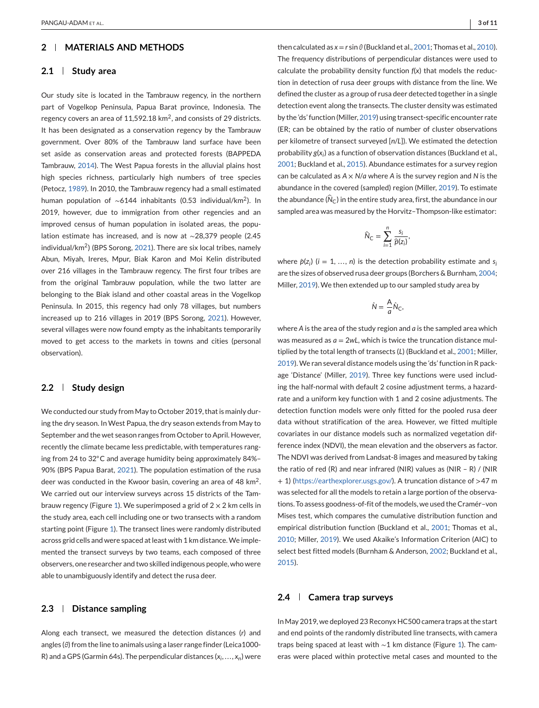# **2 MATERIALS AND METHODS**

# **2.1 Study area**

Our study site is located in the Tambrauw regency, in the northern part of Vogelkop Peninsula, Papua Barat province, Indonesia. The regency covers an area of 11,592.18 km<sup>2</sup>, and consists of 29 districts. It has been designated as a conservation regency by the Tambrauw government. Over 80% of the Tambrauw land surface have been set aside as conservation areas and protected forests (BAPPEDA Tambrauw, [2014\)](#page-9-0). The West Papua forests in the alluvial plains host high species richness, particularly high numbers of tree species (Petocz, [1989\)](#page-10-0). In 2010, the Tambrauw regency had a small estimated human population of ∼6144 inhabitants (0.53 individual/km2). In 2019, however, due to immigration from other regencies and an improved census of human population in isolated areas, the population estimate has increased, and is now at ∼28,379 people (2.45 individual/km2) (BPS Sorong, [2021\)](#page-9-0). There are six local tribes, namely Abun, Miyah, Ireres, Mpur, Biak Karon and Moi Kelin distributed over 216 villages in the Tambrauw regency. The first four tribes are from the original Tambrauw population, while the two latter are belonging to the Biak island and other coastal areas in the Vogelkop Peninsula. In 2015, this regency had only 78 villages, but numbers increased up to 216 villages in 2019 (BPS Sorong, [2021\)](#page-9-0). However, several villages were now found empty as the inhabitants temporarily moved to get access to the markets in towns and cities (personal observation).

# **2.2 Study design**

We conducted our study from May to October 2019, that is mainly during the dry season. In West Papua, the dry season extends from May to September and the wet season ranges from October to April. However, recently the climate became less predictable, with temperatures ranging from 24 to 32◦C and average humidity being approximately 84%– 90% (BPS Papua Barat, [2021\)](#page-9-0). The population estimation of the rusa deer was conducted in the Kwoor basin, covering an area of 48 km2. We carried out our interview surveys across 15 districts of the Tam-brauw regency (Figure [1\)](#page-3-0). We superimposed a grid of  $2 \times 2$  km cells in the study area, each cell including one or two transects with a random starting point (Figure [1\)](#page-3-0). The transect lines were randomly distributed across grid cells and were spaced at least with 1 km distance.We implemented the transect surveys by two teams, each composed of three observers, one researcher and two skilled indigenous people, who were able to unambiguously identify and detect the rusa deer.

## **2.3 Distance sampling**

Along each transect, we measured the detection distances (*r*) and angles (*θ*) from the line to animals using a laser range finder (Leica1000- R) and a GPS (Garmin 64s). The perpendicular distances (*xi*,..., *xn*) were

then calculated as  $x = r \sin \theta$  (Buckland et al., [2001;](#page-9-0) Thomas et al., [2010\)](#page-10-0). The frequency distributions of perpendicular distances were used to calculate the probability density function *f*(*x*) that models the reduction in detection of rusa deer groups with distance from the line. We defined the cluster as a group of rusa deer detected together in a single detection event along the transects. The cluster density was estimated by the 'ds' function (Miller, [2019\)](#page-10-0) using transect-specific encounter rate (ER; can be obtained by the ratio of number of cluster observations per kilometre of transect surveyed [*n*/*L*]). We estimated the detection probability *g*(*xi*) as a function of observation distances (Buckland et al., [2001;](#page-9-0) Buckland et al., [2015\)](#page-9-0). Abundance estimates for a survey region can be calculated as *A* × *N*/*a* where *A* is the survey region and *N* is the abundance in the covered (sampled) region (Miller, [2019\)](#page-10-0). To estimate the abundance ( $\hat{N}_C$ ) in the entire study area, first, the abundance in our sampled area was measured by the Horvitz–Thompson-like estimator:

$$
\widehat{N}_{\mathsf{C}} = \sum_{i=1}^n \frac{s_i}{\widehat{p}(z_i)}
$$

*,*

where  $\hat{p}(z_i)$  ( $i = 1, ..., n$ ) is the detection probability estimate and  $s_i$ are the sizes of observed rusa deer groups (Borchers & Burnham, [2004;](#page-9-0) Miller, [2019\)](#page-10-0). We then extended up to our sampled study area by

$$
\hat{N} = \frac{A}{a}\hat{N}_C,
$$

where *A* is the area of the study region and *a* is the sampled area which was measured as  $a = 2wl$ , which is twice the truncation distance multiplied by the total length of transects (*L*) (Buckland et al., [2001;](#page-9-0) Miller, [2019\)](#page-10-0). We ran several distance models using the 'ds' function in R package 'Distance' (Miller, [2019\)](#page-10-0). Three key functions were used including the half-normal with default 2 cosine adjustment terms, a hazardrate and a uniform key function with 1 and 2 cosine adjustments. The detection function models were only fitted for the pooled rusa deer data without stratification of the area. However, we fitted multiple covariates in our distance models such as normalized vegetation difference index (NDVI), the mean elevation and the observers as factor. The NDVI was derived from Landsat-8 images and measured by taking the ratio of red (R) and near infrared (NIR) values as (NIR – R) / (NIR + 1) [\(https://earthexplorer.usgs.gov/\)](https://earthexplorer.usgs.gov/). A truncation distance of >47 m was selected for all the models to retain a large portion of the observations. To assess goodness-of-fit of the models, we used the Cramér–von Mises test, which compares the cumulative distribution function and empirical distribution function (Buckland et al., [2001;](#page-9-0) Thomas et al., [2010;](#page-10-0) Miller, [2019\)](#page-10-0). We used Akaike's Information Criterion (AIC) to select best fitted models (Burnham & Anderson, [2002;](#page-9-0) Buckland et al., [2015\)](#page-9-0).

# **2.4 Camera trap surveys**

In May 2019, we deployed 23 Reconyx HC500 camera traps at the start and end points of the randomly distributed line transects, with camera traps being spaced at least with ∼1 km distance (Figure [1\)](#page-3-0). The cameras were placed within protective metal cases and mounted to the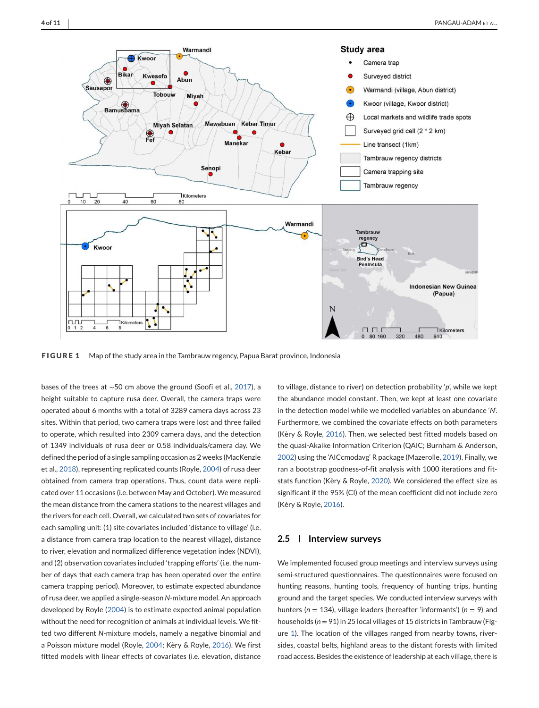<span id="page-3-0"></span>

**FIGURE 1** Map of the study area in the Tambrauw regency, Papua Barat province, Indonesia

bases of the trees at ∼50 cm above the ground (Soofi et al., [2017\)](#page-10-0), a height suitable to capture rusa deer. Overall, the camera traps were operated about 6 months with a total of 3289 camera days across 23 sites. Within that period, two camera traps were lost and three failed to operate, which resulted into 2309 camera days, and the detection of 1349 individuals of rusa deer or 0.58 individuals/camera day. We defined the period of a single sampling occasion as 2 weeks (MacKenzie et al., [2018\)](#page-10-0), representing replicated counts (Royle, [2004\)](#page-10-0) of rusa deer obtained from camera trap operations. Thus, count data were replicated over 11 occasions (i.e. between May and October). We measured the mean distance from the camera stations to the nearest villages and the rivers for each cell. Overall, we calculated two sets of covariates for each sampling unit: (1) site covariates included 'distance to village' (i.e. a distance from camera trap location to the nearest village), distance to river, elevation and normalized difference vegetation index (NDVI), and (2) observation covariates included 'trapping efforts' (i.e. the number of days that each camera trap has been operated over the entire camera trapping period). Moreover, to estimate expected abundance of rusa deer, we applied a single-season *N*-mixture model. An approach developed by Royle [\(2004\)](#page-10-0) is to estimate expected animal population without the need for recognition of animals at individual levels. We fitted two different *N*-mixture models, namely a negative binomial and a Poisson mixture model (Royle, [2004;](#page-10-0) Kèry & Royle, [2016\)](#page-9-0). We first fitted models with linear effects of covariates (i.e. elevation, distance

to village, distance to river) on detection probability '*p*', while we kept the abundance model constant. Then, we kept at least one covariate in the detection model while we modelled variables on abundance '*N*'. Furthermore, we combined the covariate effects on both parameters (Kèry & Royle, [2016\)](#page-9-0). Then, we selected best fitted models based on the quasi-Akaike Information Criterion (QAIC; Burnham & Anderson, [2002\)](#page-9-0) using the 'AICcmodavg' R package (Mazerolle, [2019\)](#page-10-0). Finally, we ran a bootstrap goodness-of-fit analysis with 1000 iterations and fitstats function (Kèry & Royle, [2020\)](#page-10-0). We considered the effect size as significant if the 95% (CI) of the mean coefficient did not include zero (Kèry & Royle, [2016\)](#page-9-0).

# **2.5 Interview surveys**

We implemented focused group meetings and interview surveys using semi-structured questionnaires. The questionnaires were focused on hunting reasons, hunting tools, frequency of hunting trips, hunting ground and the target species. We conducted interview surveys with hunters (*n* = 134), village leaders (hereafter 'informants') (*n* = 9) and households (*n* = 91) in 25 local villages of 15 districts in Tambrauw (Figure 1). The location of the villages ranged from nearby towns, riversides, coastal belts, highland areas to the distant forests with limited road access. Besides the existence of leadership at each village, there is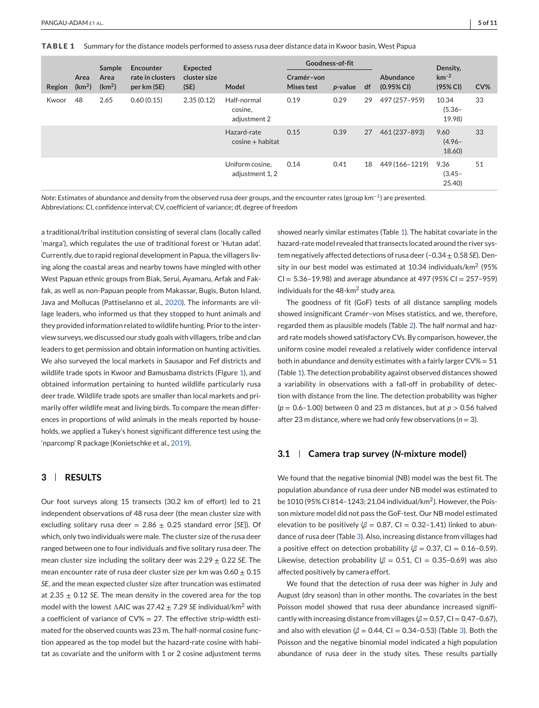**TABLE 1** Summary for the distance models performed to assess rusa deer distance data in Kwoor basin, West Papua

|        |                            | Sample                     | Encounter                       | Expected             |                                        | Goodness-of-fit          |                 |    |                            | Density,                       |     |
|--------|----------------------------|----------------------------|---------------------------------|----------------------|----------------------------------------|--------------------------|-----------------|----|----------------------------|--------------------------------|-----|
| Region | Area<br>(km <sup>2</sup> ) | Area<br>(km <sup>2</sup> ) | rate in clusters<br>per km (SE) | cluster size<br>(SE) | <b>Model</b>                           | Cramér-von<br>Mises test | <i>p</i> -value | df | Abundance<br>$(0.95\%$ CI) | $km^{-2}$<br>(95% CI)          | CV% |
| Kwoor  | 48                         | 2.65                       | 0.60(0.15)                      | 2.35(0.12)           | Half-normal<br>cosine,<br>adjustment 2 | 0.19                     | 0.29            | 29 | 497 (257-959)              | 10.34<br>$(5.36 -$<br>19.98)   | 33  |
|        |                            |                            |                                 |                      | Hazard-rate<br>$cosine + habitat$      | 0.15                     | 0.39            | 27 | 461 (237-893)              | 9.60<br>$(4.96 -$<br>$18.60$ ) | 33  |
|        |                            |                            |                                 |                      | Uniform cosine,<br>adjustment 1, 2     | 0.14                     | 0.41            | 18 | 449 (166-1219)             | 9.36<br>$(3.45 -$<br>25.40     | 51  |

*Note*: Estimates of abundance and density from the observed rusa deer groups, and the encounter rates (group km<sup>−</sup>1) are presented.

Abbreviations: CI, confidence interval; CV, coefficient of variance; df, degree of freedom

a traditional/tribal institution consisting of several clans (locally called 'marga'), which regulates the use of traditional forest or 'Hutan adat'. Currently, due to rapid regional development in Papua, the villagers living along the coastal areas and nearby towns have mingled with other West Papuan ethnic groups from Biak, Serui, Ayamaru, Arfak and Fakfak, as well as non-Papuan people from Makassar, Bugis, Buton Island, Java and Mollucas (Pattiselanno et al., [2020\)](#page-10-0). The informants are village leaders, who informed us that they stopped to hunt animals and they provided information related to wildlife hunting. Prior to the interview surveys, we discussed our study goals with villagers, tribe and clan leaders to get permission and obtain information on hunting activities. We also surveyed the local markets in Sausapor and Fef districts and wildlife trade spots in Kwoor and Bamusbama districts (Figure [1\)](#page-3-0), and obtained information pertaining to hunted wildlife particularly rusa deer trade. Wildlife trade spots are smaller than local markets and primarily offer wildlife meat and living birds. To compare the mean differences in proportions of wild animals in the meals reported by households, we applied a Tukey's honest significant difference test using the 'nparcomp' R package (Konietschke et al., [2019\)](#page-10-0).

# **3 RESULTS**

Our foot surveys along 15 transects (30.2 km of effort) led to 21 independent observations of 48 rusa deer (the mean cluster size with excluding solitary rusa deer =  $2.86 \pm 0.25$  standard error [SE]). Of which, only two individuals were male. The cluster size of the rusa deer ranged between one to four individuals and five solitary rusa deer. The mean cluster size including the solitary deer was 2.29 ± 0.22 *SE*. The mean encounter rate of rusa deer cluster size per km was  $0.60 \pm 0.15$ *SE*, and the mean expected cluster size after truncation was estimated at  $2.35 \pm 0.12$  *SE*. The mean density in the covered area for the top model with the lowest ∆AIC was 27.42 ± 7.29 *SE* individual/km<sup>2</sup> with a coefficient of variance of  $CV\% = 27$ . The effective strip-width estimated for the observed counts was 23 m. The half-normal cosine function appeared as the top model but the hazard-rate cosine with habitat as covariate and the uniform with 1 or 2 cosine adjustment terms

showed nearly similar estimates (Table 1). The habitat covariate in the hazard-rate model revealed that transects located around the river system negatively affected detections of rusa deer (–0.34 ± 0.58 *SE*). Density in our best model was estimated at 10.34 individuals/km<sup>2</sup> (95%  $CI = 5.36 - 19.98$ ) and average abundance at 497 (95% CI = 257-959) individuals for the 48-km<sup>2</sup> study area.

The goodness of fit (GoF) tests of all distance sampling models showed insignificant Cramér–von Mises statistics, and we, therefore, regarded them as plausible models (Table [2\)](#page-5-0). The half normal and hazard rate models showed satisfactory CVs. By comparison, however, the uniform cosine model revealed a relatively wider confidence interval both in abundance and density estimates with a fairly larger CV% = 51 (Table 1). The detection probability against observed distances showed a variability in observations with a fall-off in probability of detection with distance from the line. The detection probability was higher (*p* = 0.6–1.00) between 0 and 23 m distances, but at *p* > 0.56 halved after 23 m distance, where we had only few observations ( $n = 3$ ).

# **3.1 Camera trap survey (***N***-mixture model)**

We found that the negative binomial (NB) model was the best fit. The population abundance of rusa deer under NB model was estimated to be 1010 (95% CI 814–1243; 21.04 individual/km2). However, the Poisson mixture model did not pass the GoF-test. Our NB model estimated elevation to be positively ( $β = 0.87$ , Cl = 0.32-1.41) linked to abundance of rusa deer (Table [3\)](#page-5-0). Also, increasing distance from villages had a positive effect on detection probability ( $\beta$  = 0.37, Cl = 0.16-0.59). Likewise, detection probability ( $\beta$  = 0.51, Cl = 0.35-0.69) was also affected positively by camera effort.

We found that the detection of rusa deer was higher in July and August (dry season) than in other months. The covariates in the best Poisson model showed that rusa deer abundance increased significantly with increasing distance from villages  $(\beta = 0.57, C1 = 0.47 - 0.67)$ , and also with elevation ( $β = 0.44$ , Cl = 0.34-0.5[3\)](#page-5-0) (Table 3). Both the Poisson and the negative binomial model indicated a high population abundance of rusa deer in the study sites. These results partially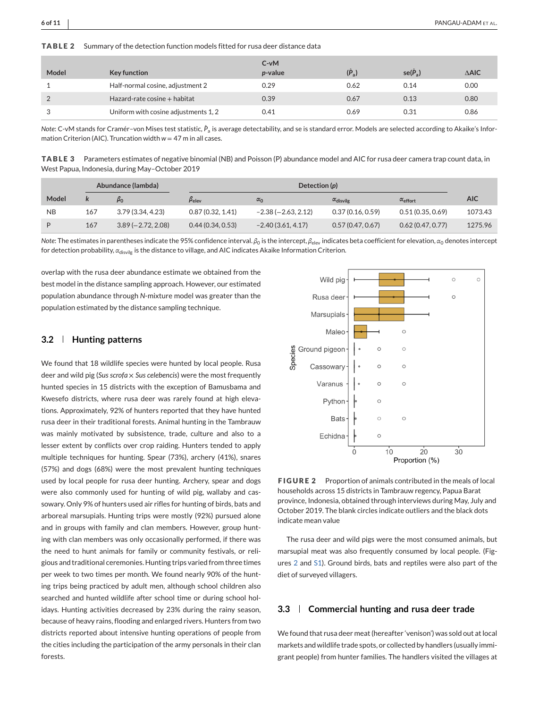<span id="page-5-0"></span>**TABLE 2** Summary of the detection function models fitted for rusa deer distance data

| Model | Key function                         | $C-vM$<br>p-value | $(\hat{P}_a)$ | $se(P_a)$ | $\triangle$ AIC |
|-------|--------------------------------------|-------------------|---------------|-----------|-----------------|
|       | Half-normal cosine, adjustment 2     | 0.29              | 0.62          | 0.14      | 0.00            |
|       | Hazard-rate cosine + habitat         | 0.39              | 0.67          | 0.13      | 0.80            |
|       | Uniform with cosine adjustments 1, 2 | 0.41              | 0.69          | 0.31      | 0.86            |

*Note*: C-vM stands for Cramér–von Mises test statistic,  $\hat{P}_{\rm a}$  is average detectability, and se is standard error. Models are selected according to Akaike's Information Criterion (AIC). Truncation width  $w = 47$  m in all cases.

**TABLE 3** Parameters estimates of negative binomial (NB) and Poisson (P) abundance model and AIC for rusa deer camera trap count data, in West Papua, Indonesia, during May–October 2019

| Abundance (lambda) |     |                     | Detection $(p)$       |                      |                           |                          |            |
|--------------------|-----|---------------------|-----------------------|----------------------|---------------------------|--------------------------|------------|
| Model              |     | $\beta_0$           | $\beta_{\text{elev}}$ | $\alpha_0$           | $\alpha_{\text{disvilg}}$ | $\alpha_{\text{effort}}$ | <b>AIC</b> |
| <b>NB</b>          | 167 | 3.79 (3.34, 4.23)   | 0.87(0.32, 1.41)      | $-2.38(-2.63, 2.12)$ | 0.37(0.16, 0.59)          | 0.51(0.35, 0.69)         | 1073.43    |
| D                  | 167 | $3.89(-2.72, 2.08)$ | 0.44(0.34, 0.53)      | $-2.40(3.61, 4.17)$  | 0.57(0.47, 0.67)          | 0.62(0.47, 0.77)         | 1275.96    |

*Note*: The estimates in parentheses indicate the 95% confidence interval.  $β$ <sub>0</sub> is the intercept,  $β$ <sub>elev</sub> indicates beta coefficient for elevation,  $α$ <sub>0</sub> denotes intercept for detection probability, α<sub>disvilg</sub> is the distance to village, and AIC indicates Akaike Information Criterion.

overlap with the rusa deer abundance estimate we obtained from the best model in the distance sampling approach. However, our estimated population abundance through *N*-mixture model was greater than the population estimated by the distance sampling technique.

# **3.2 Hunting patterns**

We found that 18 wildlife species were hunted by local people. Rusa deer and wild pig (*Sus scrofa* × *Sus celebencis*) were the most frequently hunted species in 15 districts with the exception of Bamusbama and Kwesefo districts, where rusa deer was rarely found at high elevations. Approximately, 92% of hunters reported that they have hunted rusa deer in their traditional forests. Animal hunting in the Tambrauw was mainly motivated by subsistence, trade, culture and also to a lesser extent by conflicts over crop raiding. Hunters tended to apply multiple techniques for hunting. Spear (73%), archery (41%), snares (57%) and dogs (68%) were the most prevalent hunting techniques used by local people for rusa deer hunting. Archery, spear and dogs were also commonly used for hunting of wild pig, wallaby and cassowary. Only 9% of hunters used air rifles for hunting of birds, bats and arboreal marsupials. Hunting trips were mostly (92%) pursued alone and in groups with family and clan members. However, group hunting with clan members was only occasionally performed, if there was the need to hunt animals for family or community festivals, or religious and traditional ceremonies. Hunting trips varied from three times per week to two times per month. We found nearly 90% of the hunting trips being practiced by adult men, although school children also searched and hunted wildlife after school time or during school holidays. Hunting activities decreased by 23% during the rainy season, because of heavy rains, flooding and enlarged rivers. Hunters from two districts reported about intensive hunting operations of people from the cities including the participation of the army personals in their clan forests.



**FIGURE 2** Proportion of animals contributed in the meals of local households across 15 districts in Tambrauw regency, Papua Barat province, Indonesia, obtained through interviews during May, July and October 2019. The blank circles indicate outliers and the black dots indicate mean value

The rusa deer and wild pigs were the most consumed animals, but marsupial meat was also frequently consumed by local people. (Figures 2 and S1). Ground birds, bats and reptiles were also part of the diet of surveyed villagers.

# **3.3 Commercial hunting and rusa deer trade**

We found that rusa deer meat (hereafter 'venison') was sold out at local markets and wildlife trade spots, or collected by handlers (usually immigrant people) from hunter families. The handlers visited the villages at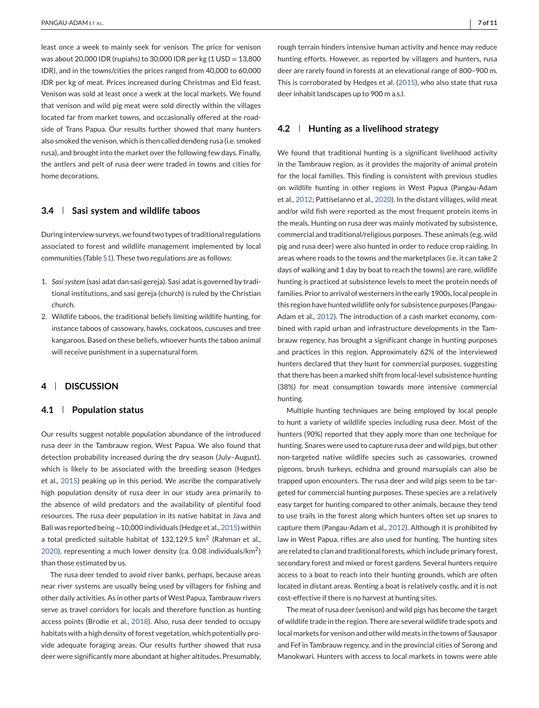least once a week to mainly seek for venison. The price for venison was about 20,000 IDR (rupiahs) to 30,000 IDR per kg  $(1 \text{ USD} = 13,800$ IDR), and in the towns/cities the prices ranged from 40,000 to 60,000 IDR per kg of meat. Prices increased during Christmas and Eid feast. Venison was sold at least once a week at the local markets. We found that venison and wild pig meat were sold directly within the villages located far from market towns, and occasionally offered at the roadside of Trans Papua. Our results further showed that many hunters also smoked the venison, which is then called dendeng rusa (i.e. smoked rusa), and brought into the market over the following few days. Finally, the antlers and pelt of rusa deer were traded in towns and cities for home decorations.

### **3.4 Sasi system and wildlife taboos**

During interview surveys, we found two types of traditional regulations associated to forest and wildlife management implemented by local communities (Table S1). These two regulations are as follows:

- 1. *Sasi system* (sasi adat dan sasi gereja). Sasi adat is governed by traditional institutions, and sasi gereja (church) is ruled by the Christian church.
- 2. Wildlife taboos, the traditional beliefs limiting wildlife hunting, for instance taboos of cassowary, hawks, cockatoos, cuscuses and tree kangaroos. Based on these beliefs, whoever hunts the taboo animal will receive punishment in a supernatural form.

# **4 DISCUSSION**

### **4.1 Population status**

Our results suggest notable population abundance of the introduced rusa deer in the Tambrauw region, West Papua. We also found that detection probability increased during the dry season (July–August), which is likely to be associated with the breeding season (Hedges et al., [2015\)](#page-9-0) peaking up in this period. We ascribe the comparatively high population density of rusa deer in our study area primarily to the absence of wild predators and the availability of plentiful food resources. The rusa deer population in its native habitat in Java and Bali was reported being∼10,000 individuals (Hedge et al., [2015\)](#page-9-0) within a total predicted suitable habitat of 132,129.5  $km^2$  (Rahman et al., [2020\)](#page-10-0), representing a much lower density (ca. 0.08 individuals/ $km^2$ ) than those estimated by us.

The rusa deer tended to avoid river banks, perhaps, because areas near river systems are usually being used by villagers for fishing and other daily activities. As in other parts of West Papua, Tambrauw rivers serve as travel corridors for locals and therefore function as hunting access points (Brodie et al., [2018\)](#page-9-0). Also, rusa deer tended to occupy habitats with a high density of forest vegetation, which potentially provide adequate foraging areas. Our results further showed that rusa deer were significantly more abundant at higher altitudes. Presumably,

rough terrain hinders intensive human activity and hence may reduce hunting efforts. However, as reported by villagers and hunters, rusa deer are rarely found in forests at an elevational range of 800–900 m. This is corroborated by Hedges et al. [\(2015\)](#page-9-0), who also state that rusa deer inhabit landscapes up to 900 m a.s.l.

# **4.2 Hunting as a livelihood strategy**

We found that traditional hunting is a significant livelihood activity in the Tambrauw region, as it provides the majority of animal protein for the local families. This finding is consistent with previous studies on wildlife hunting in other regions in West Papua (Pangau-Adam et al., [2012;](#page-10-0) Pattiselanno et al., [2020\)](#page-10-0). In the distant villages, wild meat and/or wild fish were reported as the most frequent protein items in the meals. Hunting on rusa deer was mainly motivated by subsistence, commercial and traditional/religious purposes. These animals (e.g. wild pig and rusa deer) were also hunted in order to reduce crop raiding. In areas where roads to the towns and the marketplaces (i.e. it can take 2 days of walking and 1 day by boat to reach the towns) are rare, wildlife hunting is practiced at subsistence levels to meet the protein needs of families. Prior to arrival of westerners in the early 1900s, local people in this region have hunted wildlife only for subsistence purposes (Pangau-Adam et al., [2012\)](#page-10-0). The introduction of a cash market economy, combined with rapid urban and infrastructure developments in the Tambrauw regency, has brought a significant change in hunting purposes and practices in this region. Approximately 62% of the interviewed hunters declared that they hunt for commercial purposes, suggesting that there has been a marked shift from local-level subsistence hunting (38%) for meat consumption towards more intensive commercial hunting.

Multiple hunting techniques are being employed by local people to hunt a variety of wildlife species including rusa deer. Most of the hunters (90%) reported that they apply more than one technique for hunting. Snares were used to capture rusa deer and wild pigs, but other non-targeted native wildlife species such as cassowaries, crowned pigeons, brush turkeys, echidna and ground marsupials can also be trapped upon encounters. The rusa deer and wild pigs seem to be targeted for commercial hunting purposes. These species are a relatively easy target for hunting compared to other animals, because they tend to use trails in the forest along which hunters often set up snares to capture them (Pangau-Adam et al., [2012\)](#page-10-0). Although it is prohibited by law in West Papua, rifles are also used for hunting. The hunting sites are related to clan and traditional forests, which include primary forest, secondary forest and mixed or forest gardens. Several hunters require access to a boat to reach into their hunting grounds, which are often located in distant areas. Renting a boat is relatively costly, and it is not cost-effective if there is no harvest at hunting sites.

The meat of rusa deer (venison) and wild pigs has become the target of wildlife trade in the region. There are several wildlife trade spots and local markets for venison and other wild meats in the towns of Sausapor and Fef in Tambrauw regency, and in the provincial cities of Sorong and Manokwari. Hunters with access to local markets in towns were able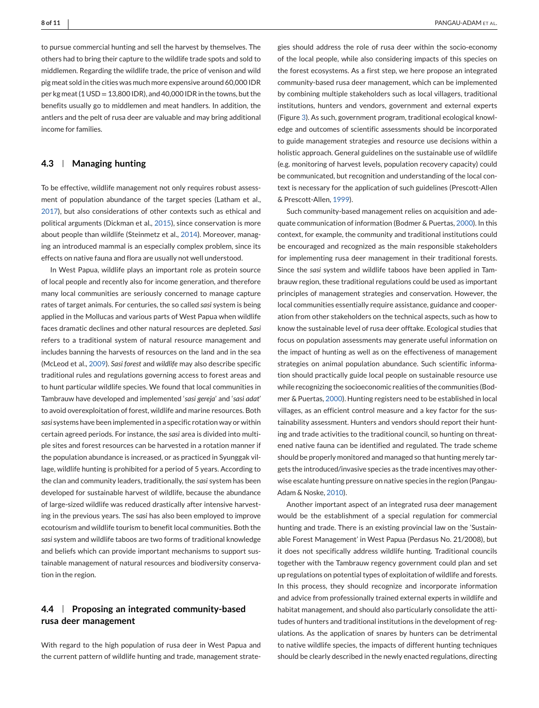to pursue commercial hunting and sell the harvest by themselves. The others had to bring their capture to the wildlife trade spots and sold to middlemen. Regarding the wildlife trade, the price of venison and wild pig meat sold in the cities was much more expensive around 60,000 IDR per kg meat (1 USD = 13,800 IDR), and 40,000 IDR in the towns, but the benefits usually go to middlemen and meat handlers. In addition, the antlers and the pelt of rusa deer are valuable and may bring additional income for families.

# **4.3 Managing hunting**

To be effective, wildlife management not only requires robust assessment of population abundance of the target species (Latham et al., [2017\)](#page-10-0), but also considerations of other contexts such as ethical and political arguments (Dickman et al., [2015\)](#page-9-0), since conservation is more about people than wildlife (Steinmetz et al., [2014\)](#page-10-0). Moreover, managing an introduced mammal is an especially complex problem, since its effects on native fauna and flora are usually not well understood.

In West Papua, wildlife plays an important role as protein source of local people and recently also for income generation, and therefore many local communities are seriously concerned to manage capture rates of target animals. For centuries, the so called *sasi* system is being applied in the Mollucas and various parts of West Papua when wildlife faces dramatic declines and other natural resources are depleted. *Sasi* refers to a traditional system of natural resource management and includes banning the harvests of resources on the land and in the sea (McLeod et al., [2009\)](#page-10-0). *Sasi forest* and *wildlife* may also describe specific traditional rules and regulations governing access to forest areas and to hunt particular wildlife species. We found that local communities in Tambrauw have developed and implemented '*sasi gereja*' and '*sasi adat*' to avoid overexploitation of forest, wildlife and marine resources. Both *sasi* systems have been implemented in a specific rotation way or within certain agreed periods. For instance, the *sasi* area is divided into multiple sites and forest resources can be harvested in a rotation manner if the population abundance is increased, or as practiced in Syunggak village, wildlife hunting is prohibited for a period of 5 years. According to the clan and community leaders, traditionally, the *sasi* system has been developed for sustainable harvest of wildlife, because the abundance of large-sized wildlife was reduced drastically after intensive harvesting in the previous years. The s*asi* has also been employed to improve ecotourism and wildlife tourism to benefit local communities. Both the *sasi* system and wildlife taboos are two forms of traditional knowledge and beliefs which can provide important mechanisms to support sustainable management of natural resources and biodiversity conservation in the region.

# **4.4 Proposing an integrated community-based rusa deer management**

With regard to the high population of rusa deer in West Papua and the current pattern of wildlife hunting and trade, management strategies should address the role of rusa deer within the socio-economy of the local people, while also considering impacts of this species on the forest ecosystems. As a first step, we here propose an integrated community-based rusa deer management, which can be implemented by combining multiple stakeholders such as local villagers, traditional institutions, hunters and vendors, government and external experts (Figure [3\)](#page-8-0). As such, government program, traditional ecological knowledge and outcomes of scientific assessments should be incorporated to guide management strategies and resource use decisions within a holistic approach. General guidelines on the sustainable use of wildlife (e.g. monitoring of harvest levels, population recovery capacity) could be communicated, but recognition and understanding of the local context is necessary for the application of such guidelines (Prescott-Allen & Prescott-Allen, [1999\)](#page-10-0).

Such community-based management relies on acquisition and adequate communication of information (Bodmer & Puertas, [2000\)](#page-9-0). In this context, for example, the community and traditional institutions could be encouraged and recognized as the main responsible stakeholders for implementing rusa deer management in their traditional forests. Since the *sasi* system and wildlife taboos have been applied in Tambrauw region, these traditional regulations could be used as important principles of management strategies and conservation. However, the local communities essentially require assistance, guidance and cooperation from other stakeholders on the technical aspects, such as how to know the sustainable level of rusa deer offtake. Ecological studies that focus on population assessments may generate useful information on the impact of hunting as well as on the effectiveness of management strategies on animal population abundance. Such scientific information should practically guide local people on sustainable resource use while recognizing the socioeconomic realities of the communities (Bodmer & Puertas, [2000\)](#page-9-0). Hunting registers need to be established in local villages, as an efficient control measure and a key factor for the sustainability assessment. Hunters and vendors should report their hunting and trade activities to the traditional council, so hunting on threatened native fauna can be identified and regulated. The trade scheme should be properly monitored and managed so that hunting merely targets the introduced/invasive species as the trade incentives may otherwise escalate hunting pressure on native species in the region (Pangau-Adam & Noske, [2010\)](#page-10-0).

Another important aspect of an integrated rusa deer management would be the establishment of a special regulation for commercial hunting and trade. There is an existing provincial law on the 'Sustainable Forest Management' in West Papua (Perdasus No. 21/2008), but it does not specifically address wildlife hunting. Traditional councils together with the Tambrauw regency government could plan and set up regulations on potential types of exploitation of wildlife and forests. In this process, they should recognize and incorporate information and advice from professionally trained external experts in wildlife and habitat management, and should also particularly consolidate the attitudes of hunters and traditional institutions in the development of regulations. As the application of snares by hunters can be detrimental to native wildlife species, the impacts of different hunting techniques should be clearly described in the newly enacted regulations, directing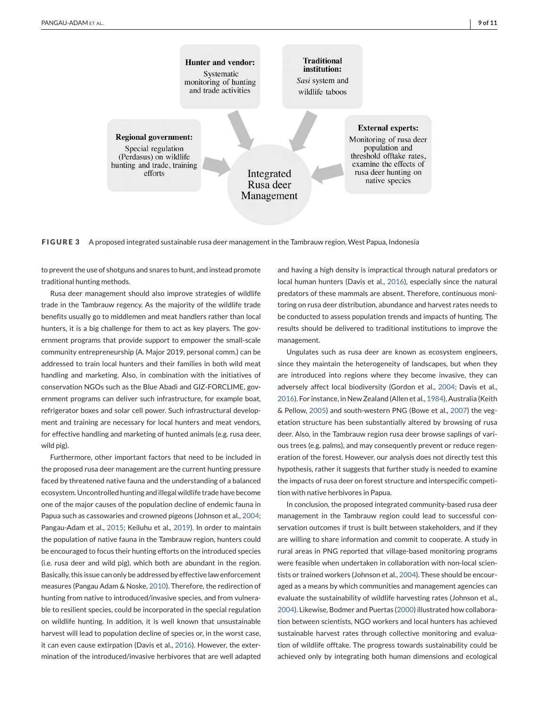<span id="page-8-0"></span>

**FIGURE 3** A proposed integrated sustainable rusa deer management in the Tambrauw region, West Papua, Indonesia

to prevent the use of shotguns and snares to hunt, and instead promote traditional hunting methods.

Rusa deer management should also improve strategies of wildlife trade in the Tambrauw regency. As the majority of the wildlife trade benefits usually go to middlemen and meat handlers rather than local hunters, it is a big challenge for them to act as key players. The government programs that provide support to empower the small-scale community entrepreneurship (A. Major 2019, personal comm.) can be addressed to train local hunters and their families in both wild meat handling and marketing. Also, in combination with the initiatives of conservation NGOs such as the Blue Abadi and GIZ-FORCLIME, government programs can deliver such infrastructure, for example boat, refrigerator boxes and solar cell power. Such infrastructural development and training are necessary for local hunters and meat vendors, for effective handling and marketing of hunted animals (e.g. rusa deer, wild pig).

Furthermore, other important factors that need to be included in the proposed rusa deer management are the current hunting pressure faced by threatened native fauna and the understanding of a balanced ecosystem. Uncontrolled hunting and illegal wildlife trade have become one of the major causes of the population decline of endemic fauna in Papua such as cassowaries and crowned pigeons (Johnson et al., [2004;](#page-9-0) Pangau-Adam et al., [2015;](#page-10-0) Keiluhu et al., [2019\)](#page-9-0). In order to maintain the population of native fauna in the Tambrauw region, hunters could be encouraged to focus their hunting efforts on the introduced species (i.e. rusa deer and wild pig), which both are abundant in the region. Basically, this issue can only be addressed by effective law enforcement measures (Pangau Adam & Noske, [2010\)](#page-10-0). Therefore, the redirection of hunting from native to introduced/invasive species, and from vulnerable to resilient species, could be incorporated in the special regulation on wildlife hunting. In addition, it is well known that unsustainable harvest will lead to population decline of species or, in the worst case, it can even cause extirpation (Davis et al., [2016\)](#page-9-0). However, the extermination of the introduced/invasive herbivores that are well adapted

and having a high density is impractical through natural predators or local human hunters (Davis et al., [2016\)](#page-9-0), especially since the natural predators of these mammals are absent. Therefore, continuous monitoring on rusa deer distribution, abundance and harvest rates needs to be conducted to assess population trends and impacts of hunting. The results should be delivered to traditional institutions to improve the management.

Ungulates such as rusa deer are known as ecosystem engineers, since they maintain the heterogeneity of landscapes, but when they are introduced into regions where they become invasive, they can adversely affect local biodiversity (Gordon et al., [2004;](#page-9-0) Davis et al., [2016\)](#page-9-0). For instance, in New Zealand (Allen et al., [1984\)](#page-9-0), Australia (Keith & Pellow, [2005\)](#page-9-0) and south-western PNG (Bowe et al., [2007\)](#page-9-0) the vegetation structure has been substantially altered by browsing of rusa deer. Also, in the Tambrauw region rusa deer browse saplings of various trees (e.g. palms), and may consequently prevent or reduce regeneration of the forest. However, our analysis does not directly test this hypothesis, rather it suggests that further study is needed to examine the impacts of rusa deer on forest structure and interspecific competition with native herbivores in Papua.

In conclusion, the proposed integrated community-based rusa deer management in the Tambrauw region could lead to successful conservation outcomes if trust is built between stakeholders, and if they are willing to share information and commit to cooperate. A study in rural areas in PNG reported that village-based monitoring programs were feasible when undertaken in collaboration with non-local scientists or trained workers (Johnson et al., [2004\)](#page-9-0). These should be encouraged as a means by which communities and management agencies can evaluate the sustainability of wildlife harvesting rates (Johnson et al., [2004\)](#page-9-0). Likewise, Bodmer and Puertas [\(2000\)](#page-9-0) illustrated how collaboration between scientists, NGO workers and local hunters has achieved sustainable harvest rates through collective monitoring and evaluation of wildlife offtake. The progress towards sustainability could be achieved only by integrating both human dimensions and ecological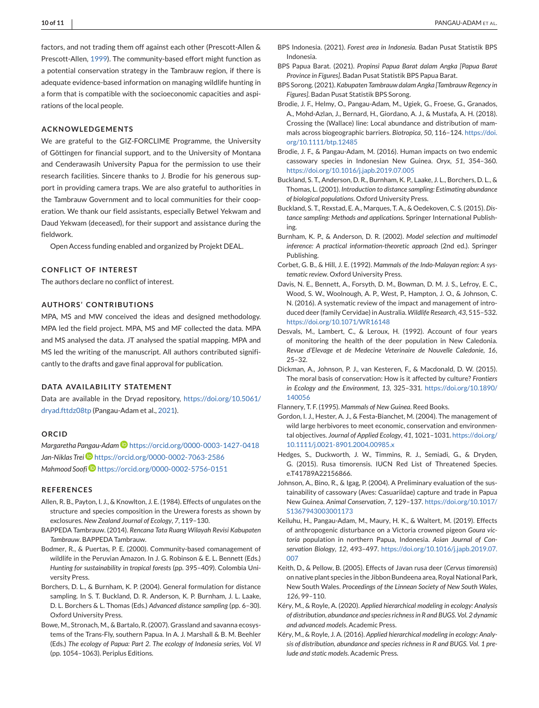<span id="page-9-0"></span>factors, and not trading them off against each other (Prescott-Allen & Prescott-Allen, [1999\)](#page-10-0). The community-based effort might function as a potential conservation strategy in the Tambrauw region, if there is adequate evidence-based information on managing wildlife hunting in a form that is compatible with the socioeconomic capacities and aspirations of the local people.

## **ACKNOWLEDGEMENTS**

We are grateful to the GIZ-FORCLIME Programme, the University of Göttingen for financial support, and to the University of Montana and Cenderawasih University Papua for the permission to use their research facilities. Sincere thanks to J. Brodie for his generous support in providing camera traps. We are also grateful to authorities in the Tambrauw Government and to local communities for their cooperation. We thank our field assistants, especially Betwel Yekwam and Daud Yekwam (deceased), for their support and assistance during the fieldwork.

Open Access funding enabled and organized by Projekt DEAL.

## **CONFLICT OF INTEREST**

The authors declare no conflict of interest.

# **AUTHORS' CONTRIBUTIONS**

MPA, MS and MW conceived the ideas and designed methodology. MPA led the field project. MPA, MS and MF collected the data. MPA and MS analysed the data. JT analysed the spatial mapping. MPA and MS led the writing of the manuscript. All authors contributed significantly to the drafts and gave final approval for publication.

# **DATA AVAILABILITY STATEMENT**

Data are available in the Dryad repository, [https://doi.org/10.5061/](https://doi.org/10.5061/dryad.fttdz08tp) [dryad.fttdz08tp](https://doi.org/10.5061/dryad.fttdz08tp) (Pangau-Adam et al., [2021\)](#page-10-0).

#### **ORCID**

*Margaretha Pangau-Adam* <https://orcid.org/0000-0003-1427-0418> *Jan-Niklas Tre[i](https://orcid.org/0000-0002-7063-2586)* <https://orcid.org/0000-0002-7063-2586> *Mahmood Soofi* <https://orcid.org/0000-0002-5756-0151>

#### **REFERENCES**

- Allen, R. B., Payton, I. J., & Knowlton, J. E. (1984). Effects of ungulates on the structure and species composition in the Urewera forests as shown by exclosures. *New Zealand Journal of Ecology*, *7*, 119–130.
- BAPPEDA Tambrauw. (2014). *Rencana Tata Ruang Wilayah Revisi Kabupaten Tambrauw*. BAPPEDA Tambrauw.
- Bodmer, R., & Puertas, P. E. (2000). Community-based comanagement of wildlife in the Peruvian Amazon. In J. G. Robinson & E. L. Bennett (Eds.) *Hunting for sustainability in tropical forests* (pp. 395–409). Colombia University Press.
- Borchers, D. L., & Burnham, K. P. (2004). General formulation for distance sampling. In S. T. Buckland, D. R. Anderson, K. P. Burnham, J. L. Laake, D. L. Borchers & L. Thomas (Eds.) *Advanced distance sampling* (pp. 6–30). Oxford University Press.
- Bowe, M., Stronach, M., & Bartalo, R. (2007). Grassland and savanna ecosystems of the Trans-Fly, southern Papua. In A. J. Marshall & B. M. Beehler (Eds.) *The ecology of Papua: Part 2. The ecology of Indonesia series, Vol. VI* (pp. 1054–1063). Periplus Editions.
- BPS Indonesia. (2021). *Forest area in Indonesia*. Badan Pusat Statistik BPS Indonesia.
- BPS Papua Barat. (2021). *Propinsi Papua Barat dalam Angka [Papua Barat Province in Figures]*. Badan Pusat Statistik BPS Papua Barat.
- BPS Sorong. (2021). *Kabupaten Tambrauw dalam Angka [Tambrauw Regency in Figures]*. Badan Pusat Statistik BPS Sorong.
- Brodie, J. F., Helmy, O., Pangau-Adam, M., Ugiek, G., Froese, G., Granados, A., Mohd-Azlan, J., Bernard, H., Giordano, A. J., & Mustafa, A. H. (2018). Crossing the (Wallace) line: Local abundance and distribution of mammals across biogeographic barriers. *Biotropica*, *50*, 116–124. [https://doi.](https://doi.org/10.1111/btp.12485) [org/10.1111/btp.12485](https://doi.org/10.1111/btp.12485)
- Brodie, J. F., & Pangau-Adam, M. (2016). Human impacts on two endemic cassowary species in Indonesian New Guinea. *Oryx*, *51*, 354–360. <https://doi.org/10.1016/j.japb.2019.07.005>
- Buckland, S. T., Anderson, D. R., Burnham, K. P., Laake, J. L., Borchers, D. L., & Thomas, L. (2001). *Introduction to distance sampling: Estimating abundance of biological populations*. Oxford University Press.
- Buckland, S. T., Rexstad, E. A., Marques, T. A., & Oedekoven, C. S. (2015). *Distance sampling: Methods and applications*. Springer International Publishing.
- Burnham, K. P., & Anderson, D. R. (2002). *Model selection and multimodel inference: A practical information-theoretic approach* (2nd ed.). Springer Publishing.
- Corbet, G. B., & Hill, J. E. (1992). *Mammals of the Indo-Malayan region: A systematic review*. Oxford University Press.
- Davis, N. E., Bennett, A., Forsyth, D. M., Bowman, D. M. J. S., Lefroy, E. C., Wood, S. W., Woolnough, A. P., West, P., Hampton, J. O., & Johnson, C. N. (2016). A systematic review of the impact and management of introduced deer (family Cervidae) in Australia. *Wildlife Research*, *43*, 515–532. <https://doi.org/10.1071/WR16148>
- Desvals, M., Lambert, C., & Leroux, H. (1992). Account of four years of monitoring the health of the deer population in New Caledonia. *Revue d'Elevage et de Medecine Veterinaire de Nouvelle Caledonie*, *16*, 25–32.
- Dickman, A., Johnson, P. J., van Kesteren, F., & Macdonald, D. W. (2015). The moral basis of conservation: How is it affected by culture? *Frontiers in Ecology and the Environment*, *13*, 325–331. [https://doi.org/10.1890/](https://doi.org/10.1890/140056) [140056](https://doi.org/10.1890/140056)

Flannery, T. F. (1995). *Mammals of New Guinea*. Reed Books.

- Gordon, I. J., Hester, A. J., & Festa-Bianchet, M. (2004). The management of wild large herbivores to meet economic, conservation and environmental objectives. *Journal of Applied Ecology*, *41*, 1021–1031. [https://doi.org/](https://doi.org/10.1111/j.0021-8901.2004.00985.x) [10.1111/j.0021-8901.2004.00985.x](https://doi.org/10.1111/j.0021-8901.2004.00985.x)
- Hedges, S., Duckworth, J. W., Timmins, R. J., Semiadi, G., & Dryden, G. (2015). Rusa timorensis. IUCN Red List of Threatened Species. e.T41789A22156866.
- Johnson, A., Bino, R., & Igag, P. (2004). A Preliminary evaluation of the sustainability of cassowary (Aves: Casuariidae) capture and trade in Papua New Guinea. *Animal Conservation*, *7*, 129–137. [https://doi.org/10.1017/](https://doi.org/10.1017/S1367943003001173) [S1367943003001173](https://doi.org/10.1017/S1367943003001173)
- Keiluhu, H., Pangau-Adam, M., Maury, H. K., & Waltert, M. (2019). Effects of anthropogenic disturbance on a Victoria crowned pigeon *Goura victoria* population in northern Papua, Indonesia. *Asian Journal of Conservation Biology*, *12*, 493–497. [https://doi.org/10.1016/j.japb.2019.07.](https://doi.org/10.1016/j.japb.2019.07.007) [007](https://doi.org/10.1016/j.japb.2019.07.007)
- Keith, D., & Pellow, B. (2005). Effects of Javan rusa deer (*Cervus timorensis*) on native plant species in the Jibbon Bundeena area, Royal National Park, New South Wales. *Proceedings of the Linnean Society of New South Wales*, *126*, 99–110.
- Kéry, M., & Royle, A. (2020). *Applied hierarchical modeling in ecology: Analysis of distribution, abundance and species richness in R and BUGS. Vol. 2 dynamic and advanced models*. Academic Press.
- Kéry, M., & Royle, J. A. (2016). *Applied hierarchical modeling in ecology: Analysis of distribution, abundance and species richness in R and BUGS. Vol. 1 prelude and static models*. Academic Press.